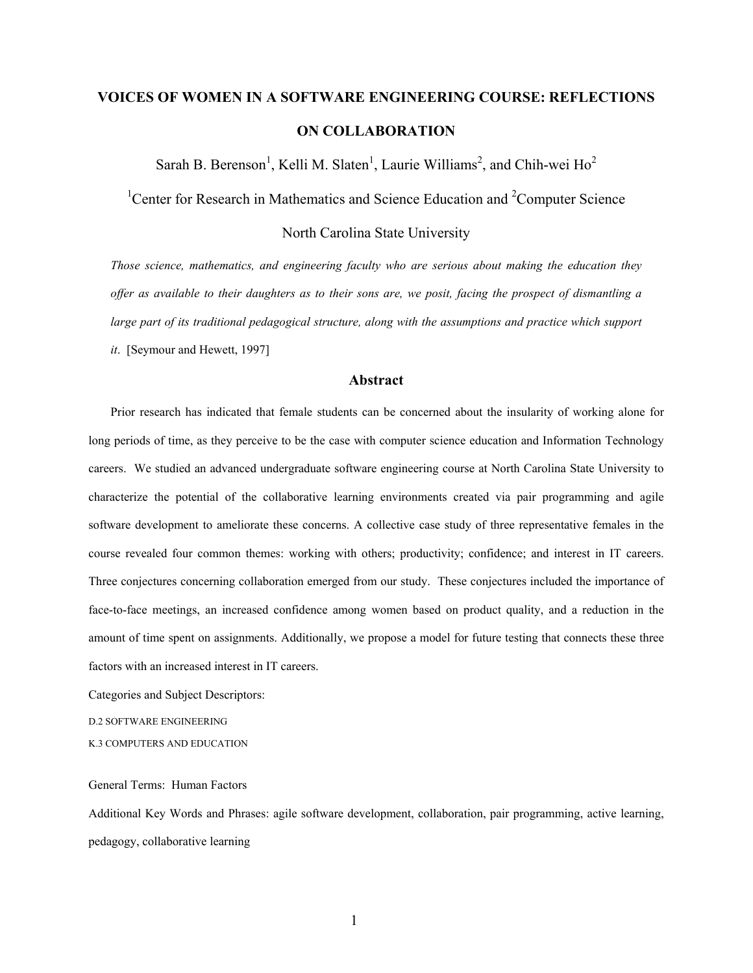# **VOICES OF WOMEN IN A SOFTWARE ENGINEERING COURSE: REFLECTIONS ON COLLABORATION**

Sarah B. Berenson<sup>1</sup>, Kelli M. Slaten<sup>1</sup>, Laurie Williams<sup>2</sup>, and Chih-wei Ho<sup>2</sup>

<sup>1</sup>Center for Research in Mathematics and Science Education and <sup>2</sup>Computer Science

North Carolina State University

*Those science, mathematics, and engineering faculty who are serious about making the education they offer as available to their daughters as to their sons are, we posit, facing the prospect of dismantling a large part of its traditional pedagogical structure, along with the assumptions and practice which support it*. [Seymour and Hewett, 1997]

# **Abstract**

Prior research has indicated that female students can be concerned about the insularity of working alone for long periods of time, as they perceive to be the case with computer science education and Information Technology careers. We studied an advanced undergraduate software engineering course at North Carolina State University to characterize the potential of the collaborative learning environments created via pair programming and agile software development to ameliorate these concerns. A collective case study of three representative females in the course revealed four common themes: working with others; productivity; confidence; and interest in IT careers. Three conjectures concerning collaboration emerged from our study. These conjectures included the importance of face-to-face meetings, an increased confidence among women based on product quality, and a reduction in the amount of time spent on assignments. Additionally, we propose a model for future testing that connects these three factors with an increased interest in IT careers.

Categories and Subject Descriptors:

D.2 SOFTWARE ENGINEERING

K.3 COMPUTERS AND EDUCATION

General Terms: Human Factors

Additional Key Words and Phrases: agile software development, collaboration, pair programming, active learning, pedagogy, collaborative learning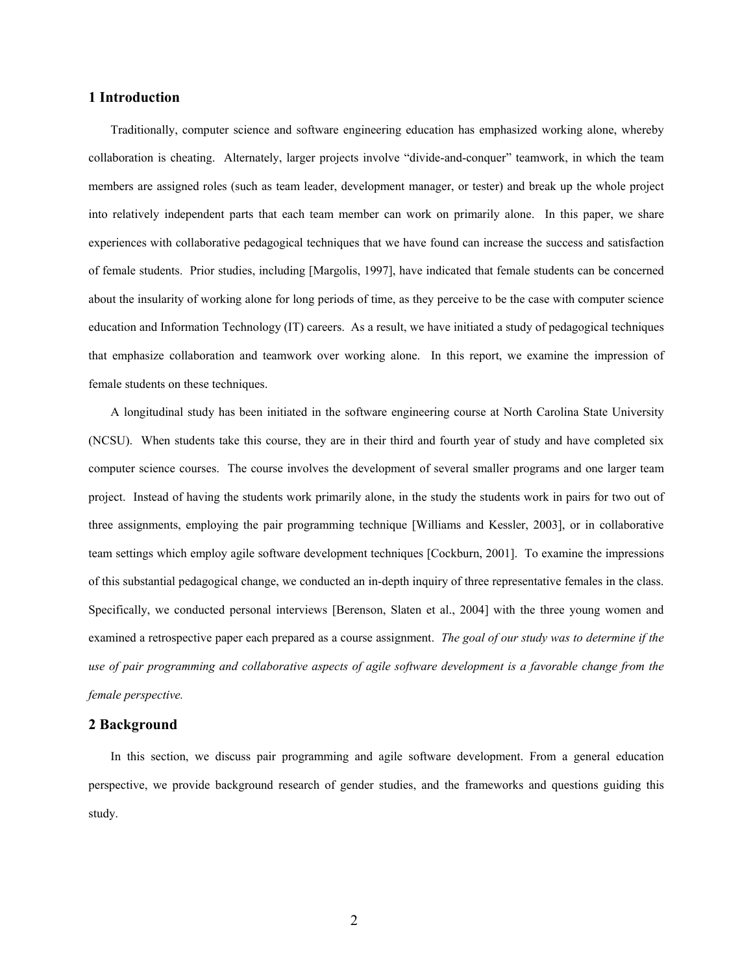# **1 Introduction**

Traditionally, computer science and software engineering education has emphasized working alone, whereby collaboration is cheating. Alternately, larger projects involve "divide-and-conquer" teamwork, in which the team members are assigned roles (such as team leader, development manager, or tester) and break up the whole project into relatively independent parts that each team member can work on primarily alone. In this paper, we share experiences with collaborative pedagogical techniques that we have found can increase the success and satisfaction of female students. Prior studies, including [Margolis, 1997], have indicated that female students can be concerned about the insularity of working alone for long periods of time, as they perceive to be the case with computer science education and Information Technology (IT) careers. As a result, we have initiated a study of pedagogical techniques that emphasize collaboration and teamwork over working alone. In this report, we examine the impression of female students on these techniques.

A longitudinal study has been initiated in the software engineering course at North Carolina State University (NCSU). When students take this course, they are in their third and fourth year of study and have completed six computer science courses. The course involves the development of several smaller programs and one larger team project. Instead of having the students work primarily alone, in the study the students work in pairs for two out of three assignments, employing the pair programming technique [Williams and Kessler, 2003], or in collaborative team settings which employ agile software development techniques [Cockburn, 2001]. To examine the impressions of this substantial pedagogical change, we conducted an in-depth inquiry of three representative females in the class. Specifically, we conducted personal interviews [Berenson, Slaten et al., 2004] with the three young women and examined a retrospective paper each prepared as a course assignment. *The goal of our study was to determine if the use of pair programming and collaborative aspects of agile software development is a favorable change from the female perspective.*

#### **2 Background**

In this section, we discuss pair programming and agile software development. From a general education perspective, we provide background research of gender studies, and the frameworks and questions guiding this study.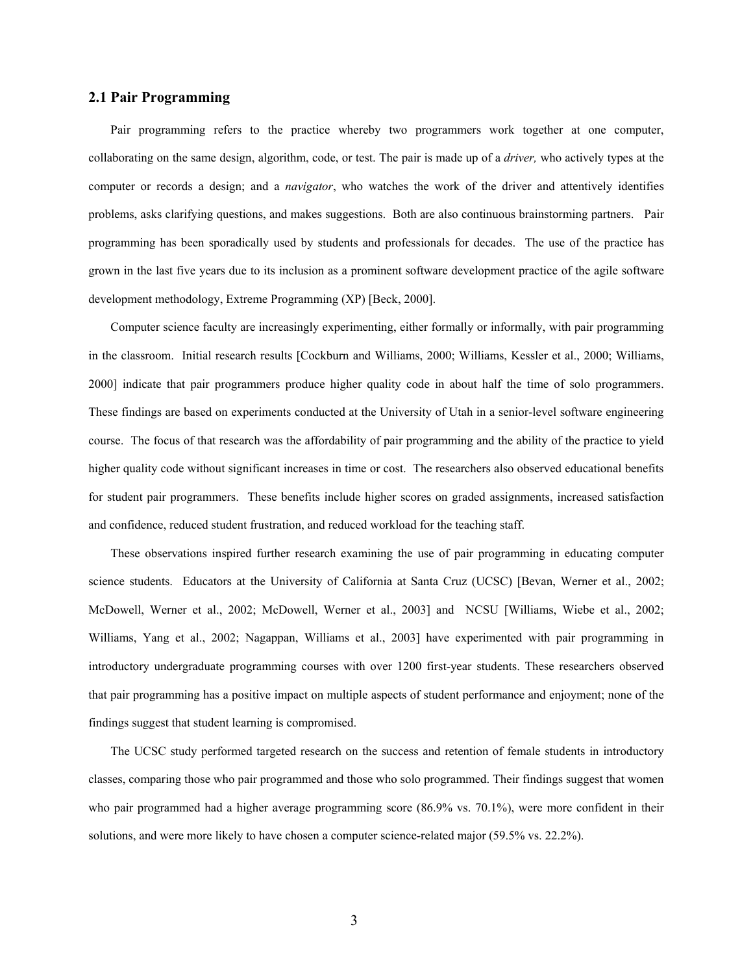#### **2.1 Pair Programming**

Pair programming refers to the practice whereby two programmers work together at one computer, collaborating on the same design, algorithm, code, or test. The pair is made up of a *driver,* who actively types at the computer or records a design; and a *navigator*, who watches the work of the driver and attentively identifies problems, asks clarifying questions, and makes suggestions. Both are also continuous brainstorming partners. Pair programming has been sporadically used by students and professionals for decades. The use of the practice has grown in the last five years due to its inclusion as a prominent software development practice of the agile software development methodology, Extreme Programming (XP) [Beck, 2000].

Computer science faculty are increasingly experimenting, either formally or informally, with pair programming in the classroom. Initial research results [Cockburn and Williams, 2000; Williams, Kessler et al., 2000; Williams, 2000] indicate that pair programmers produce higher quality code in about half the time of solo programmers. These findings are based on experiments conducted at the University of Utah in a senior-level software engineering course. The focus of that research was the affordability of pair programming and the ability of the practice to yield higher quality code without significant increases in time or cost. The researchers also observed educational benefits for student pair programmers. These benefits include higher scores on graded assignments, increased satisfaction and confidence, reduced student frustration, and reduced workload for the teaching staff.

These observations inspired further research examining the use of pair programming in educating computer science students. Educators at the University of California at Santa Cruz (UCSC) [Bevan, Werner et al., 2002; McDowell, Werner et al., 2002; McDowell, Werner et al., 2003] and NCSU [Williams, Wiebe et al., 2002; Williams, Yang et al., 2002; Nagappan, Williams et al., 2003] have experimented with pair programming in introductory undergraduate programming courses with over 1200 first-year students. These researchers observed that pair programming has a positive impact on multiple aspects of student performance and enjoyment; none of the findings suggest that student learning is compromised.

The UCSC study performed targeted research on the success and retention of female students in introductory classes, comparing those who pair programmed and those who solo programmed. Their findings suggest that women who pair programmed had a higher average programming score (86.9% vs. 70.1%), were more confident in their solutions, and were more likely to have chosen a computer science-related major (59.5% vs. 22.2%).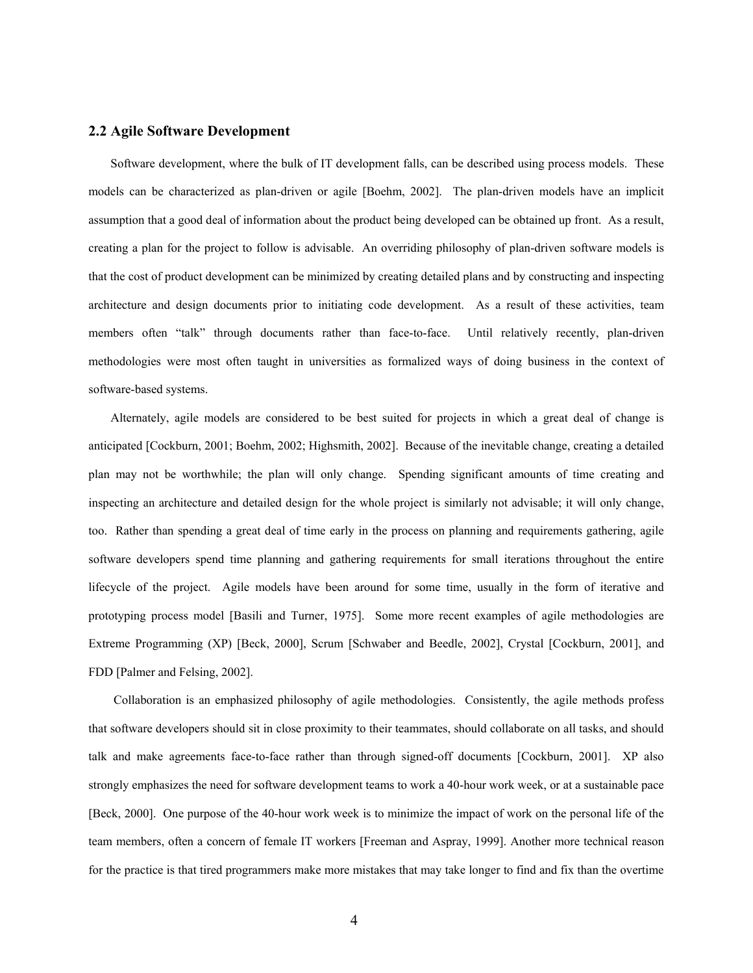#### **2.2 Agile Software Development**

Software development, where the bulk of IT development falls, can be described using process models. These models can be characterized as plan-driven or agile [Boehm, 2002]. The plan-driven models have an implicit assumption that a good deal of information about the product being developed can be obtained up front. As a result, creating a plan for the project to follow is advisable. An overriding philosophy of plan-driven software models is that the cost of product development can be minimized by creating detailed plans and by constructing and inspecting architecture and design documents prior to initiating code development. As a result of these activities, team members often "talk" through documents rather than face-to-face. Until relatively recently, plan-driven methodologies were most often taught in universities as formalized ways of doing business in the context of software-based systems.

Alternately, agile models are considered to be best suited for projects in which a great deal of change is anticipated [Cockburn, 2001; Boehm, 2002; Highsmith, 2002]. Because of the inevitable change, creating a detailed plan may not be worthwhile; the plan will only change. Spending significant amounts of time creating and inspecting an architecture and detailed design for the whole project is similarly not advisable; it will only change, too. Rather than spending a great deal of time early in the process on planning and requirements gathering, agile software developers spend time planning and gathering requirements for small iterations throughout the entire lifecycle of the project. Agile models have been around for some time, usually in the form of iterative and prototyping process model [Basili and Turner, 1975]. Some more recent examples of agile methodologies are Extreme Programming (XP) [Beck, 2000], Scrum [Schwaber and Beedle, 2002], Crystal [Cockburn, 2001], and FDD [Palmer and Felsing, 2002].

 Collaboration is an emphasized philosophy of agile methodologies. Consistently, the agile methods profess that software developers should sit in close proximity to their teammates, should collaborate on all tasks, and should talk and make agreements face-to-face rather than through signed-off documents [Cockburn, 2001]. XP also strongly emphasizes the need for software development teams to work a 40-hour work week, or at a sustainable pace [Beck, 2000]. One purpose of the 40-hour work week is to minimize the impact of work on the personal life of the team members, often a concern of female IT workers [Freeman and Aspray, 1999]. Another more technical reason for the practice is that tired programmers make more mistakes that may take longer to find and fix than the overtime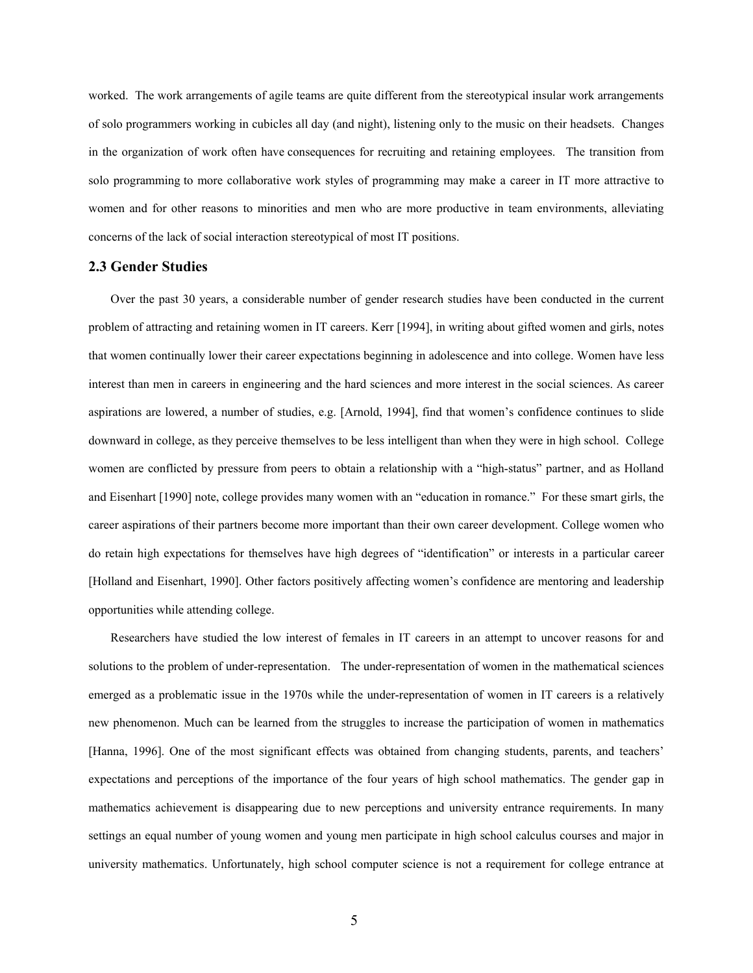worked. The work arrangements of agile teams are quite different from the stereotypical insular work arrangements of solo programmers working in cubicles all day (and night), listening only to the music on their headsets. Changes in the organization of work often have consequences for recruiting and retaining employees. The transition from solo programming to more collaborative work styles of programming may make a career in IT more attractive to women and for other reasons to minorities and men who are more productive in team environments, alleviating concerns of the lack of social interaction stereotypical of most IT positions.

# **2.3 Gender Studies**

Over the past 30 years, a considerable number of gender research studies have been conducted in the current problem of attracting and retaining women in IT careers. Kerr [1994], in writing about gifted women and girls, notes that women continually lower their career expectations beginning in adolescence and into college. Women have less interest than men in careers in engineering and the hard sciences and more interest in the social sciences. As career aspirations are lowered, a number of studies, e.g. [Arnold, 1994], find that women's confidence continues to slide downward in college, as they perceive themselves to be less intelligent than when they were in high school. College women are conflicted by pressure from peers to obtain a relationship with a "high-status" partner, and as Holland and Eisenhart [1990] note, college provides many women with an "education in romance." For these smart girls, the career aspirations of their partners become more important than their own career development. College women who do retain high expectations for themselves have high degrees of "identification" or interests in a particular career [Holland and Eisenhart, 1990]. Other factors positively affecting women's confidence are mentoring and leadership opportunities while attending college.

Researchers have studied the low interest of females in IT careers in an attempt to uncover reasons for and solutions to the problem of under-representation. The under-representation of women in the mathematical sciences emerged as a problematic issue in the 1970s while the under-representation of women in IT careers is a relatively new phenomenon. Much can be learned from the struggles to increase the participation of women in mathematics [Hanna, 1996]. One of the most significant effects was obtained from changing students, parents, and teachers' expectations and perceptions of the importance of the four years of high school mathematics. The gender gap in mathematics achievement is disappearing due to new perceptions and university entrance requirements. In many settings an equal number of young women and young men participate in high school calculus courses and major in university mathematics. Unfortunately, high school computer science is not a requirement for college entrance at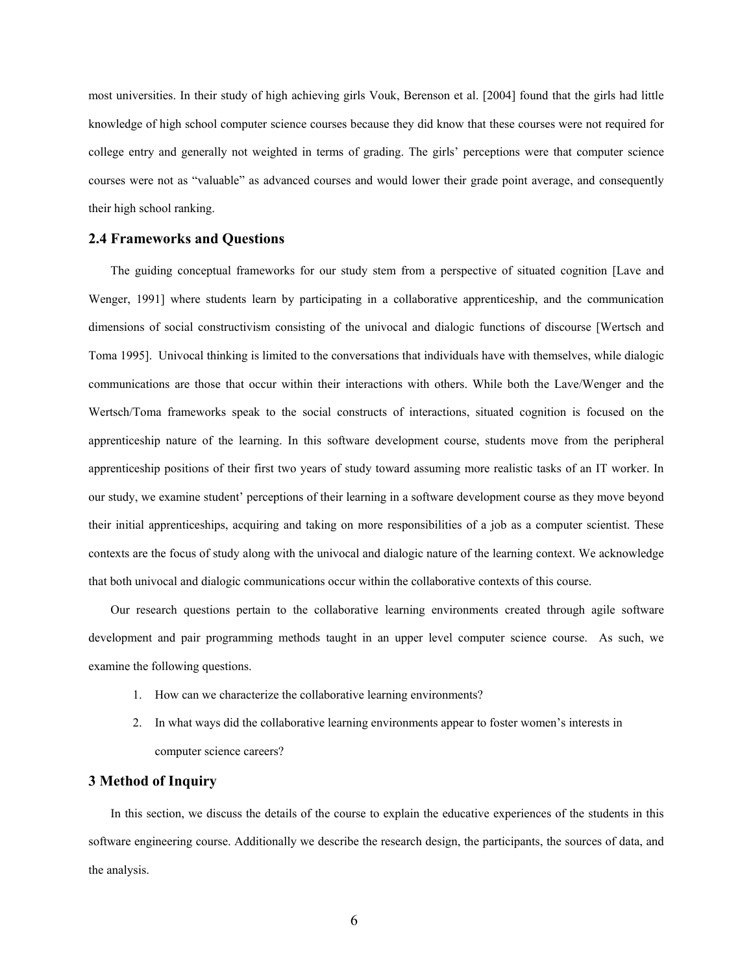most universities. In their study of high achieving girls Vouk, Berenson et al. [2004] found that the girls had little knowledge of high school computer science courses because they did know that these courses were not required for college entry and generally not weighted in terms of grading. The girls' perceptions were that computer science courses were not as "valuable" as advanced courses and would lower their grade point average, and consequently their high school ranking.

#### **2.4 Frameworks and Questions**

The guiding conceptual frameworks for our study stem from a perspective of situated cognition [Lave and Wenger, 1991] where students learn by participating in a collaborative apprenticeship, and the communication dimensions of social constructivism consisting of the univocal and dialogic functions of discourse [Wertsch and Toma 1995]. Univocal thinking is limited to the conversations that individuals have with themselves, while dialogic communications are those that occur within their interactions with others. While both the Lave/Wenger and the Wertsch/Toma frameworks speak to the social constructs of interactions, situated cognition is focused on the apprenticeship nature of the learning. In this software development course, students move from the peripheral apprenticeship positions of their first two years of study toward assuming more realistic tasks of an IT worker. In our study, we examine student' perceptions of their learning in a software development course as they move beyond their initial apprenticeships, acquiring and taking on more responsibilities of a job as a computer scientist. These contexts are the focus of study along with the univocal and dialogic nature of the learning context. We acknowledge that both univocal and dialogic communications occur within the collaborative contexts of this course.

Our research questions pertain to the collaborative learning environments created through agile software development and pair programming methods taught in an upper level computer science course. As such, we examine the following questions.

- 1. How can we characterize the collaborative learning environments?
- 2. In what ways did the collaborative learning environments appear to foster women's interests in computer science careers?

#### **3 Method of Inquiry**

In this section, we discuss the details of the course to explain the educative experiences of the students in this software engineering course. Additionally we describe the research design, the participants, the sources of data, and the analysis.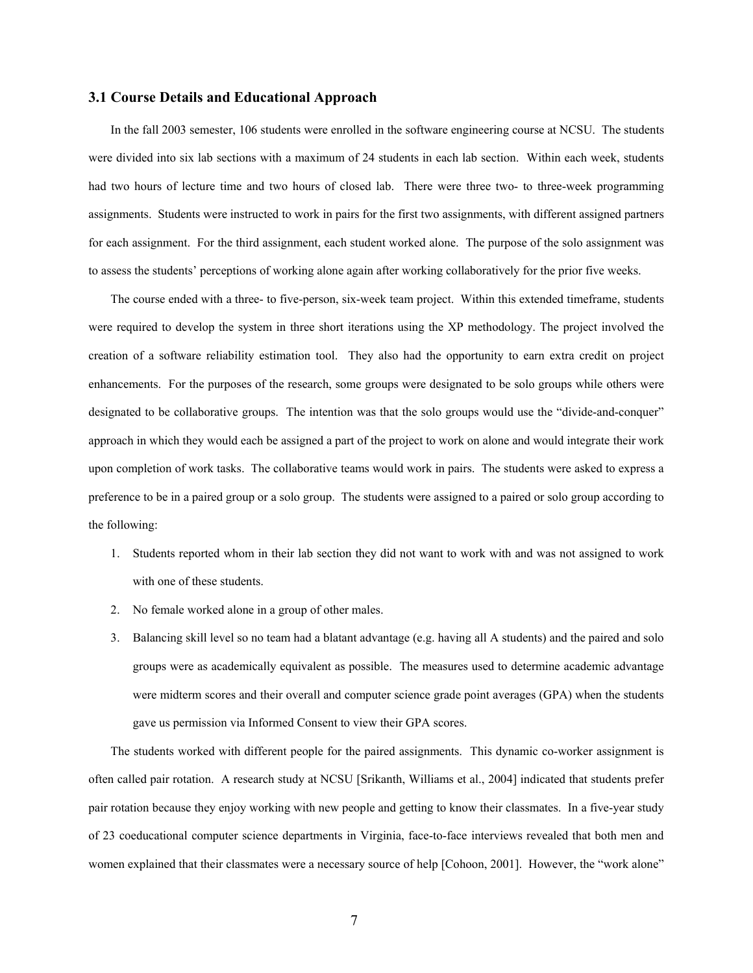#### **3.1 Course Details and Educational Approach**

In the fall 2003 semester, 106 students were enrolled in the software engineering course at NCSU. The students were divided into six lab sections with a maximum of 24 students in each lab section. Within each week, students had two hours of lecture time and two hours of closed lab. There were three two- to three-week programming assignments. Students were instructed to work in pairs for the first two assignments, with different assigned partners for each assignment. For the third assignment, each student worked alone. The purpose of the solo assignment was to assess the students' perceptions of working alone again after working collaboratively for the prior five weeks.

The course ended with a three- to five-person, six-week team project. Within this extended timeframe, students were required to develop the system in three short iterations using the XP methodology. The project involved the creation of a software reliability estimation tool. They also had the opportunity to earn extra credit on project enhancements. For the purposes of the research, some groups were designated to be solo groups while others were designated to be collaborative groups. The intention was that the solo groups would use the "divide-and-conquer" approach in which they would each be assigned a part of the project to work on alone and would integrate their work upon completion of work tasks. The collaborative teams would work in pairs. The students were asked to express a preference to be in a paired group or a solo group. The students were assigned to a paired or solo group according to the following:

- 1. Students reported whom in their lab section they did not want to work with and was not assigned to work with one of these students.
- 2. No female worked alone in a group of other males.
- 3. Balancing skill level so no team had a blatant advantage (e.g. having all A students) and the paired and solo groups were as academically equivalent as possible. The measures used to determine academic advantage were midterm scores and their overall and computer science grade point averages (GPA) when the students gave us permission via Informed Consent to view their GPA scores.

The students worked with different people for the paired assignments. This dynamic co-worker assignment is often called pair rotation. A research study at NCSU [Srikanth, Williams et al., 2004] indicated that students prefer pair rotation because they enjoy working with new people and getting to know their classmates. In a five-year study of 23 coeducational computer science departments in Virginia, face-to-face interviews revealed that both men and women explained that their classmates were a necessary source of help [Cohoon, 2001]. However, the "work alone"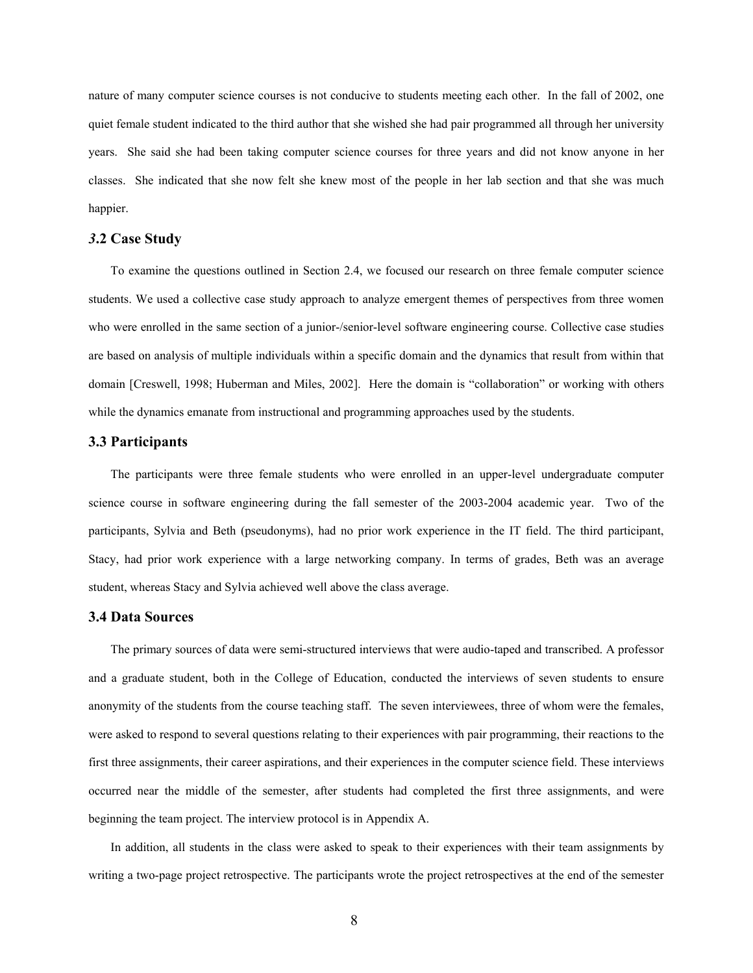nature of many computer science courses is not conducive to students meeting each other. In the fall of 2002, one quiet female student indicated to the third author that she wished she had pair programmed all through her university years. She said she had been taking computer science courses for three years and did not know anyone in her classes. She indicated that she now felt she knew most of the people in her lab section and that she was much happier.

#### *3***.2 Case Study**

To examine the questions outlined in Section 2.4, we focused our research on three female computer science students. We used a collective case study approach to analyze emergent themes of perspectives from three women who were enrolled in the same section of a junior-/senior-level software engineering course. Collective case studies are based on analysis of multiple individuals within a specific domain and the dynamics that result from within that domain [Creswell, 1998; Huberman and Miles, 2002]. Here the domain is "collaboration" or working with others while the dynamics emanate from instructional and programming approaches used by the students.

#### **3.3 Participants**

The participants were three female students who were enrolled in an upper-level undergraduate computer science course in software engineering during the fall semester of the 2003-2004 academic year. Two of the participants, Sylvia and Beth (pseudonyms), had no prior work experience in the IT field. The third participant, Stacy, had prior work experience with a large networking company. In terms of grades, Beth was an average student, whereas Stacy and Sylvia achieved well above the class average.

# **3.4 Data Sources**

The primary sources of data were semi-structured interviews that were audio-taped and transcribed. A professor and a graduate student, both in the College of Education, conducted the interviews of seven students to ensure anonymity of the students from the course teaching staff. The seven interviewees, three of whom were the females, were asked to respond to several questions relating to their experiences with pair programming, their reactions to the first three assignments, their career aspirations, and their experiences in the computer science field. These interviews occurred near the middle of the semester, after students had completed the first three assignments, and were beginning the team project. The interview protocol is in Appendix A.

In addition, all students in the class were asked to speak to their experiences with their team assignments by writing a two-page project retrospective. The participants wrote the project retrospectives at the end of the semester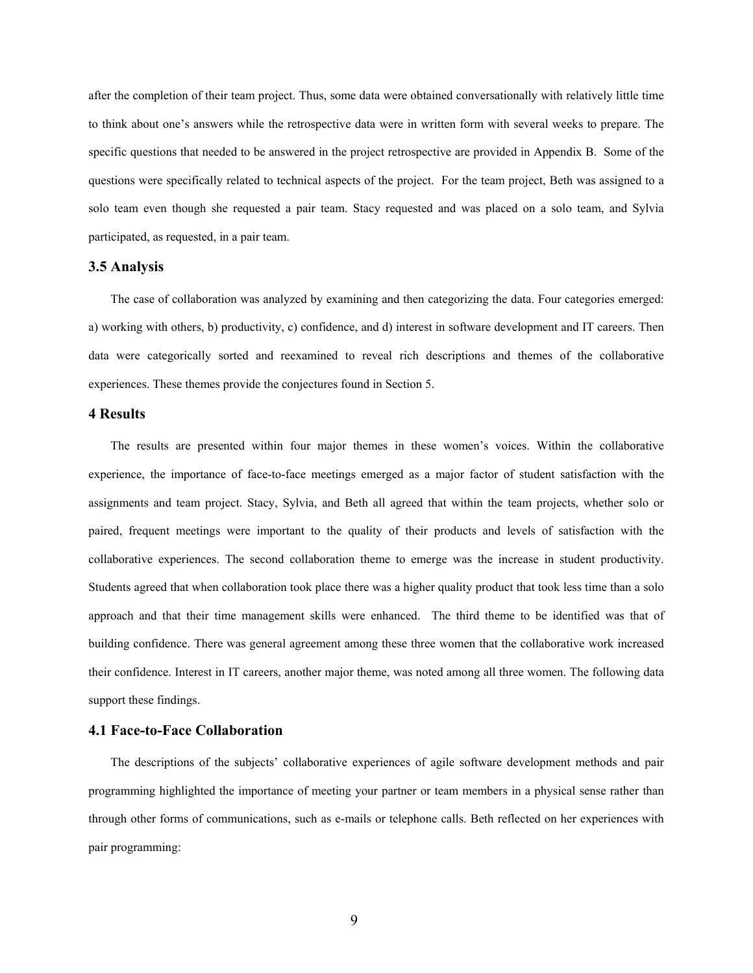after the completion of their team project. Thus, some data were obtained conversationally with relatively little time to think about one's answers while the retrospective data were in written form with several weeks to prepare. The specific questions that needed to be answered in the project retrospective are provided in Appendix B. Some of the questions were specifically related to technical aspects of the project. For the team project, Beth was assigned to a solo team even though she requested a pair team. Stacy requested and was placed on a solo team, and Sylvia participated, as requested, in a pair team.

#### **3.5 Analysis**

The case of collaboration was analyzed by examining and then categorizing the data. Four categories emerged: a) working with others, b) productivity, c) confidence, and d) interest in software development and IT careers. Then data were categorically sorted and reexamined to reveal rich descriptions and themes of the collaborative experiences. These themes provide the conjectures found in Section 5.

## **4 Results**

The results are presented within four major themes in these women's voices. Within the collaborative experience, the importance of face-to-face meetings emerged as a major factor of student satisfaction with the assignments and team project. Stacy, Sylvia, and Beth all agreed that within the team projects, whether solo or paired, frequent meetings were important to the quality of their products and levels of satisfaction with the collaborative experiences. The second collaboration theme to emerge was the increase in student productivity. Students agreed that when collaboration took place there was a higher quality product that took less time than a solo approach and that their time management skills were enhanced. The third theme to be identified was that of building confidence. There was general agreement among these three women that the collaborative work increased their confidence. Interest in IT careers, another major theme, was noted among all three women. The following data support these findings.

# **4.1 Face-to-Face Collaboration**

The descriptions of the subjects' collaborative experiences of agile software development methods and pair programming highlighted the importance of meeting your partner or team members in a physical sense rather than through other forms of communications, such as e-mails or telephone calls. Beth reflected on her experiences with pair programming: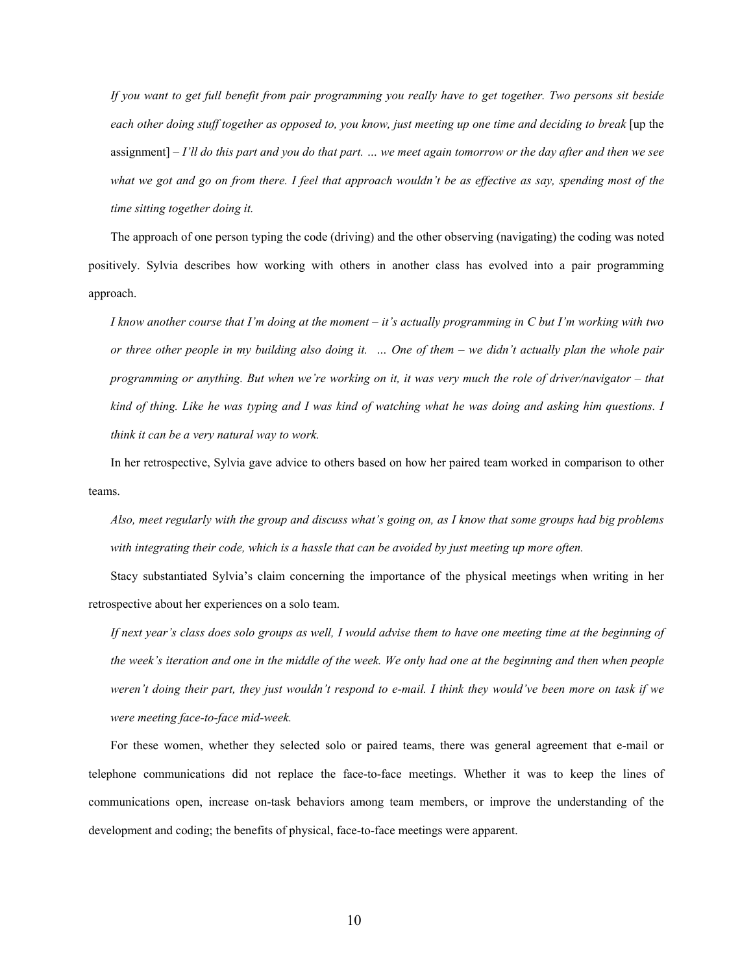*If you want to get full benefit from pair programming you really have to get together. Two persons sit beside*  each other doing stuff together as opposed to, you know, just meeting up one time and deciding to break (up the assignment] *– I'll do this part and you do that part. … we meet again tomorrow or the day after and then we see what we got and go on from there. I feel that approach wouldn't be as effective as say, spending most of the time sitting together doing it.* 

The approach of one person typing the code (driving) and the other observing (navigating) the coding was noted positively. Sylvia describes how working with others in another class has evolved into a pair programming approach.

*I know another course that I'm doing at the moment – it's actually programming in C but I'm working with two or three other people in my building also doing it. … One of them – we didn't actually plan the whole pair programming or anything. But when we're working on it, it was very much the role of driver/navigator – that kind of thing. Like he was typing and I was kind of watching what he was doing and asking him questions. I think it can be a very natural way to work.*

In her retrospective, Sylvia gave advice to others based on how her paired team worked in comparison to other teams.

*Also, meet regularly with the group and discuss what's going on, as I know that some groups had big problems with integrating their code, which is a hassle that can be avoided by just meeting up more often.*

Stacy substantiated Sylvia's claim concerning the importance of the physical meetings when writing in her retrospective about her experiences on a solo team.

If next year's class does solo groups as well, I would advise them to have one meeting time at the beginning of *the week's iteration and one in the middle of the week. We only had one at the beginning and then when people weren't doing their part, they just wouldn't respond to e-mail. I think they would've been more on task if we were meeting face-to-face mid-week.* 

For these women, whether they selected solo or paired teams, there was general agreement that e-mail or telephone communications did not replace the face-to-face meetings. Whether it was to keep the lines of communications open, increase on-task behaviors among team members, or improve the understanding of the development and coding; the benefits of physical, face-to-face meetings were apparent.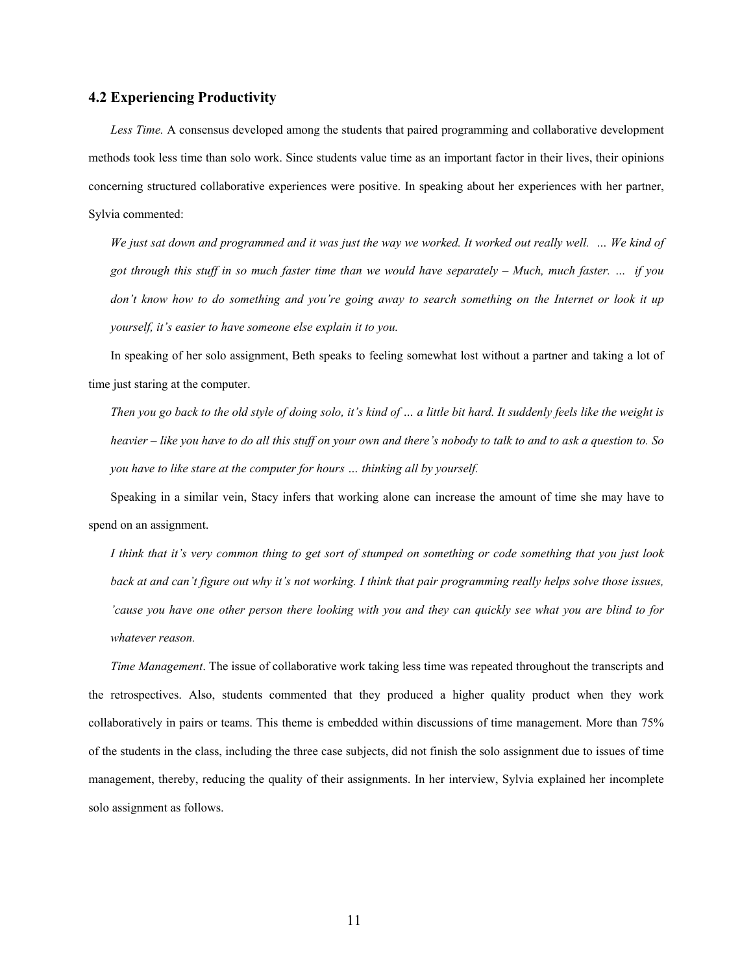# **4.2 Experiencing Productivity**

*Less Time.* A consensus developed among the students that paired programming and collaborative development methods took less time than solo work. Since students value time as an important factor in their lives, their opinions concerning structured collaborative experiences were positive. In speaking about her experiences with her partner, Sylvia commented:

*We just sat down and programmed and it was just the way we worked. It worked out really well. … We kind of got through this stuff in so much faster time than we would have separately – Much, much faster. … if you*  don't know how to do something and you're going away to search something on the Internet or look it up *yourself, it's easier to have someone else explain it to you.*

In speaking of her solo assignment, Beth speaks to feeling somewhat lost without a partner and taking a lot of time just staring at the computer.

*Then you go back to the old style of doing solo, it's kind of … a little bit hard. It suddenly feels like the weight is heavier – like you have to do all this stuff on your own and there's nobody to talk to and to ask a question to. So you have to like stare at the computer for hours … thinking all by yourself.* 

Speaking in a similar vein, Stacy infers that working alone can increase the amount of time she may have to spend on an assignment.

*I think that it's very common thing to get sort of stumped on something or code something that you just look*  back at and can't figure out why it's not working. I think that pair programming really helps solve those issues, *'cause you have one other person there looking with you and they can quickly see what you are blind to for whatever reason.* 

*Time Management*. The issue of collaborative work taking less time was repeated throughout the transcripts and the retrospectives. Also, students commented that they produced a higher quality product when they work collaboratively in pairs or teams. This theme is embedded within discussions of time management. More than 75% of the students in the class, including the three case subjects, did not finish the solo assignment due to issues of time management, thereby, reducing the quality of their assignments. In her interview, Sylvia explained her incomplete solo assignment as follows.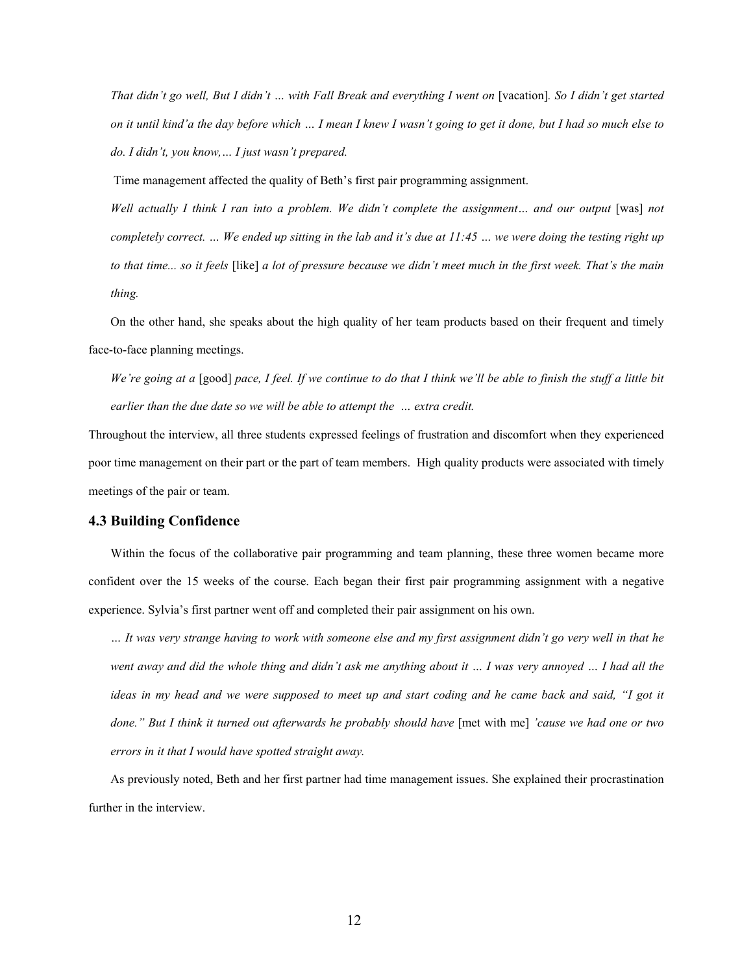*That didn't go well, But I didn't ... with Fall Break and everything I went on [vacation]. So I didn't get started on it until kind'a the day before which … I mean I knew I wasn't going to get it done, but I had so much else to do. I didn't, you know,… I just wasn't prepared.* 

Time management affected the quality of Beth's first pair programming assignment.

*Well actually I think I ran into a problem. We didn't complete the assignment... and our output* [was] not *completely correct. … We ended up sitting in the lab and it's due at 11:45 … we were doing the testing right up to that time... so it feels* [like] *a lot of pressure because we didn't meet much in the first week. That's the main thing.* 

On the other hand, she speaks about the high quality of her team products based on their frequent and timely face-to-face planning meetings.

*We're going at a* [good] *pace, I feel. If we continue to do that I think we'll be able to finish the stuff a little bit earlier than the due date so we will be able to attempt the … extra credit.*

Throughout the interview, all three students expressed feelings of frustration and discomfort when they experienced poor time management on their part or the part of team members. High quality products were associated with timely meetings of the pair or team.

#### **4.3 Building Confidence**

Within the focus of the collaborative pair programming and team planning, these three women became more confident over the 15 weeks of the course. Each began their first pair programming assignment with a negative experience. Sylvia's first partner went off and completed their pair assignment on his own.

*… It was very strange having to work with someone else and my first assignment didn't go very well in that he went away and did the whole thing and didn't ask me anything about it … I was very annoyed … I had all the*  ideas in my head and we were supposed to meet up and start coding and he came back and said, "I got it *done." But I think it turned out afterwards he probably should have* [met with me] *'cause we had one or two errors in it that I would have spotted straight away.* 

As previously noted, Beth and her first partner had time management issues. She explained their procrastination further in the interview.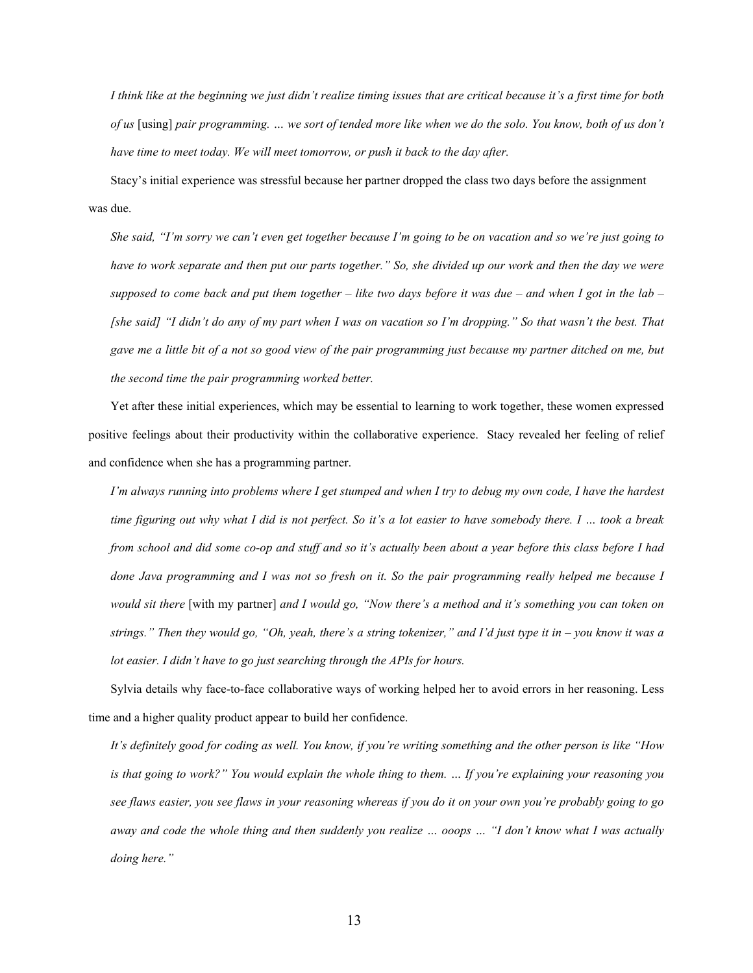*I think like at the beginning we just didn't realize timing issues that are critical because it's a first time for both of us* [using] *pair programming. … we sort of tended more like when we do the solo. You know, both of us don't have time to meet today. We will meet tomorrow, or push it back to the day after.* 

Stacy's initial experience was stressful because her partner dropped the class two days before the assignment was due.

*She said, "I'm sorry we can't even get together because I'm going to be on vacation and so we're just going to have to work separate and then put our parts together." So, she divided up our work and then the day we were supposed to come back and put them together – like two days before it was due – and when I got in the lab – [she said] "I didn't do any of my part when I was on vacation so I'm dropping." So that wasn't the best. That gave me a little bit of a not so good view of the pair programming just because my partner ditched on me, but the second time the pair programming worked better.* 

Yet after these initial experiences, which may be essential to learning to work together, these women expressed positive feelings about their productivity within the collaborative experience. Stacy revealed her feeling of relief and confidence when she has a programming partner.

*I'm always running into problems where I get stumped and when I try to debug my own code, I have the hardest time figuring out why what I did is not perfect. So it's a lot easier to have somebody there. I … took a break from school and did some co-op and stuff and so it's actually been about a year before this class before I had done Java programming and I was not so fresh on it. So the pair programming really helped me because I would sit there* [with my partner] *and I would go, "Now there's a method and it's something you can token on strings." Then they would go, "Oh, yeah, there's a string tokenizer," and I'd just type it in – you know it was a lot easier. I didn't have to go just searching through the APIs for hours.* 

Sylvia details why face-to-face collaborative ways of working helped her to avoid errors in her reasoning. Less time and a higher quality product appear to build her confidence.

*It's definitely good for coding as well. You know, if you're writing something and the other person is like "How is that going to work?" You would explain the whole thing to them. … If you're explaining your reasoning you see flaws easier, you see flaws in your reasoning whereas if you do it on your own you're probably going to go away and code the whole thing and then suddenly you realize … ooops … "I don't know what I was actually doing here."*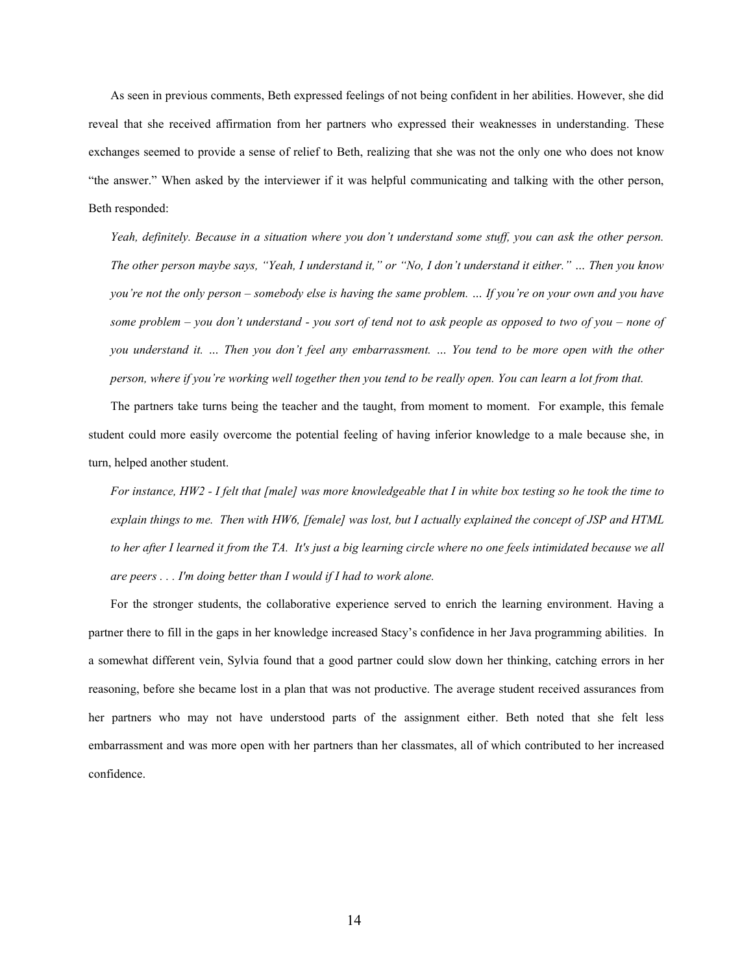As seen in previous comments, Beth expressed feelings of not being confident in her abilities. However, she did reveal that she received affirmation from her partners who expressed their weaknesses in understanding. These exchanges seemed to provide a sense of relief to Beth, realizing that she was not the only one who does not know "the answer." When asked by the interviewer if it was helpful communicating and talking with the other person, Beth responded:

*Yeah, definitely. Because in a situation where you don't understand some stuff, you can ask the other person. The other person maybe says, "Yeah, I understand it," or "No, I don't understand it either." … Then you know you're not the only person – somebody else is having the same problem. … If you're on your own and you have some problem – you don't understand - you sort of tend not to ask people as opposed to two of you – none of you understand it. … Then you don't feel any embarrassment. … You tend to be more open with the other person, where if you're working well together then you tend to be really open. You can learn a lot from that.* 

The partners take turns being the teacher and the taught, from moment to moment. For example, this female student could more easily overcome the potential feeling of having inferior knowledge to a male because she, in turn, helped another student.

*For instance, HW2 - I felt that [male] was more knowledgeable that I in white box testing so he took the time to explain things to me. Then with HW6, [female] was lost, but I actually explained the concept of JSP and HTML*  to her after I learned it from the TA. It's just a big learning circle where no one feels intimidated because we all *are peers . . . I'm doing better than I would if I had to work alone.* 

For the stronger students, the collaborative experience served to enrich the learning environment. Having a partner there to fill in the gaps in her knowledge increased Stacy's confidence in her Java programming abilities. In a somewhat different vein, Sylvia found that a good partner could slow down her thinking, catching errors in her reasoning, before she became lost in a plan that was not productive. The average student received assurances from her partners who may not have understood parts of the assignment either. Beth noted that she felt less embarrassment and was more open with her partners than her classmates, all of which contributed to her increased confidence.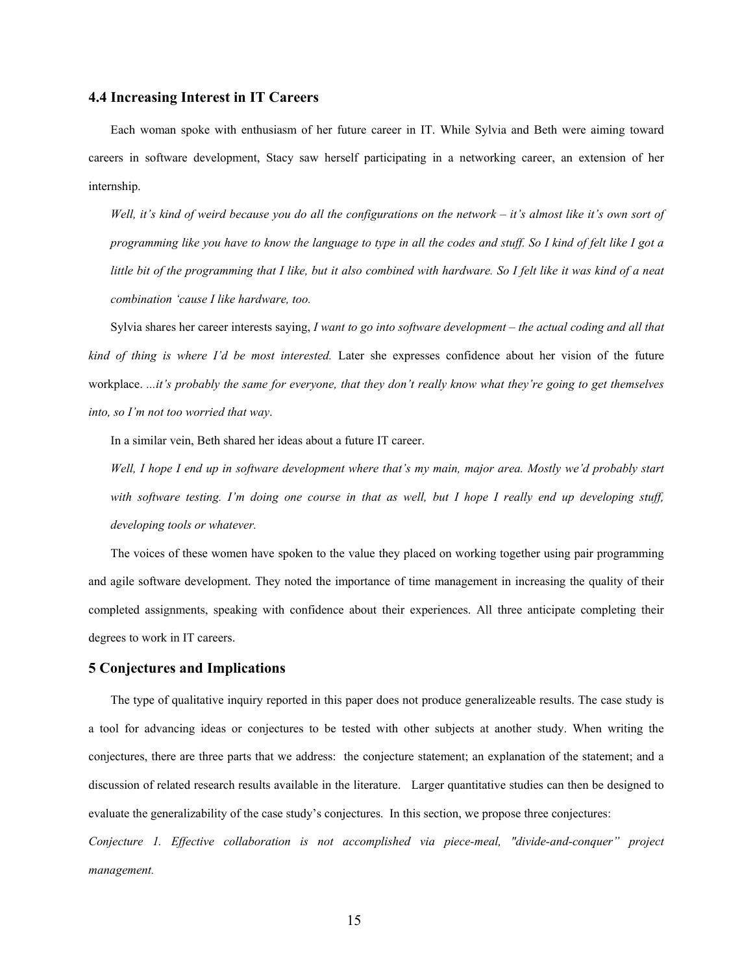# **4.4 Increasing Interest in IT Careers**

Each woman spoke with enthusiasm of her future career in IT. While Sylvia and Beth were aiming toward careers in software development, Stacy saw herself participating in a networking career, an extension of her internship.

*Well, it's kind of weird because you do all the configurations on the network – it's almost like it's own sort of programming like you have to know the language to type in all the codes and stuff. So I kind of felt like I got a*  little bit of the programming that I like, but it also combined with hardware. So I felt like it was kind of a neat *combination 'cause I like hardware, too.* 

Sylvia shares her career interests saying, *I want to go into software development – the actual coding and all that kind of thing is where I'd be most interested.* Later she expresses confidence about her vision of the future workplace. *...it's probably the same for everyone, that they don't really know what they're going to get themselves into, so I'm not too worried that way*.

In a similar vein, Beth shared her ideas about a future IT career.

*Well, I hope I end up in software development where that's my main, major area. Mostly we'd probably start*  with software testing. I'm doing one course in that as well, but I hope I really end up developing stuff, *developing tools or whatever.* 

The voices of these women have spoken to the value they placed on working together using pair programming and agile software development. They noted the importance of time management in increasing the quality of their completed assignments, speaking with confidence about their experiences. All three anticipate completing their degrees to work in IT careers.

# **5 Conjectures and Implications**

The type of qualitative inquiry reported in this paper does not produce generalizeable results. The case study is a tool for advancing ideas or conjectures to be tested with other subjects at another study. When writing the conjectures, there are three parts that we address: the conjecture statement; an explanation of the statement; and a discussion of related research results available in the literature. Larger quantitative studies can then be designed to evaluate the generalizability of the case study's conjectures. In this section, we propose three conjectures:

*Conjecture 1. Effective collaboration is not accomplished via piece-meal, "divide-and-conquer" project management.*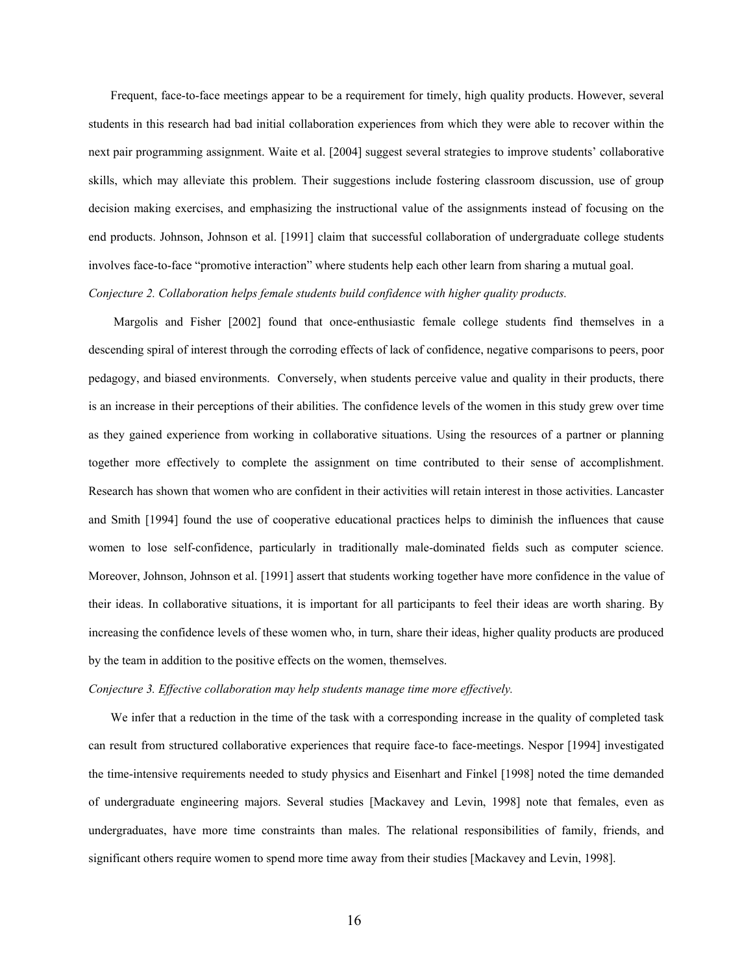Frequent, face-to-face meetings appear to be a requirement for timely, high quality products. However, several students in this research had bad initial collaboration experiences from which they were able to recover within the next pair programming assignment. Waite et al. [2004] suggest several strategies to improve students' collaborative skills, which may alleviate this problem. Their suggestions include fostering classroom discussion, use of group decision making exercises, and emphasizing the instructional value of the assignments instead of focusing on the end products. Johnson, Johnson et al. [1991] claim that successful collaboration of undergraduate college students involves face-to-face "promotive interaction" where students help each other learn from sharing a mutual goal. *Conjecture 2. Collaboration helps female students build confidence with higher quality products.* 

 Margolis and Fisher [2002] found that once-enthusiastic female college students find themselves in a descending spiral of interest through the corroding effects of lack of confidence, negative comparisons to peers, poor pedagogy, and biased environments. Conversely, when students perceive value and quality in their products, there is an increase in their perceptions of their abilities. The confidence levels of the women in this study grew over time as they gained experience from working in collaborative situations. Using the resources of a partner or planning together more effectively to complete the assignment on time contributed to their sense of accomplishment. Research has shown that women who are confident in their activities will retain interest in those activities. Lancaster and Smith [1994] found the use of cooperative educational practices helps to diminish the influences that cause women to lose self-confidence, particularly in traditionally male-dominated fields such as computer science. Moreover, Johnson, Johnson et al. [1991] assert that students working together have more confidence in the value of their ideas. In collaborative situations, it is important for all participants to feel their ideas are worth sharing. By increasing the confidence levels of these women who, in turn, share their ideas, higher quality products are produced by the team in addition to the positive effects on the women, themselves.

*Conjecture 3. Effective collaboration may help students manage time more effectively.* 

We infer that a reduction in the time of the task with a corresponding increase in the quality of completed task can result from structured collaborative experiences that require face-to face-meetings. Nespor [1994] investigated the time-intensive requirements needed to study physics and Eisenhart and Finkel [1998] noted the time demanded of undergraduate engineering majors. Several studies [Mackavey and Levin, 1998] note that females, even as undergraduates, have more time constraints than males. The relational responsibilities of family, friends, and significant others require women to spend more time away from their studies [Mackavey and Levin, 1998].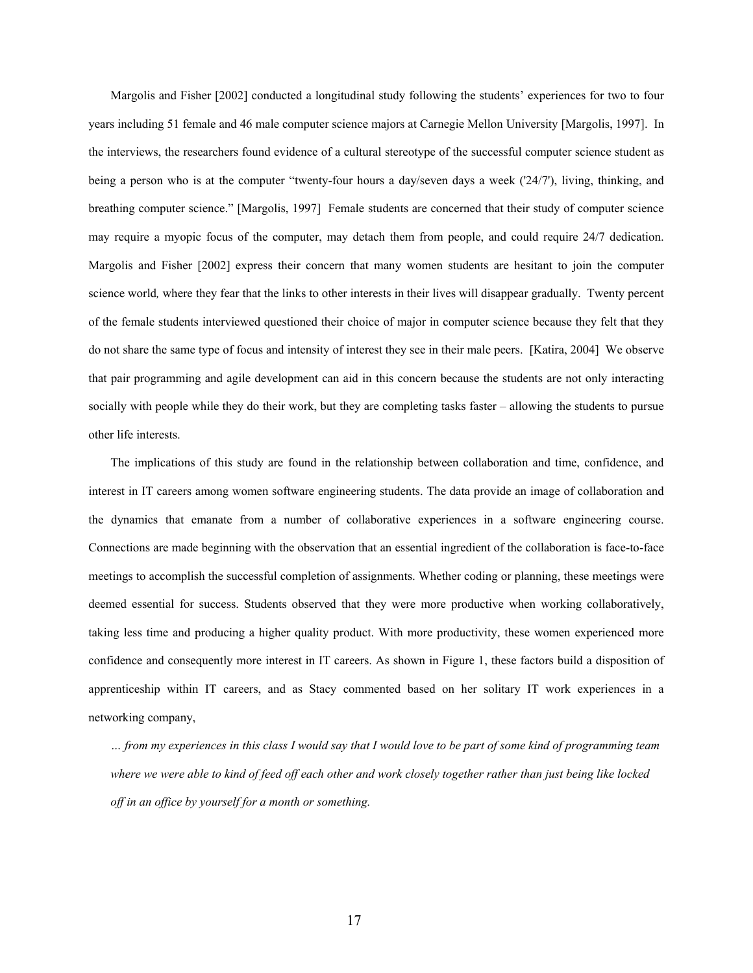Margolis and Fisher [2002] conducted a longitudinal study following the students' experiences for two to four years including 51 female and 46 male computer science majors at Carnegie Mellon University [Margolis, 1997]. In the interviews, the researchers found evidence of a cultural stereotype of the successful computer science student as being a person who is at the computer "twenty-four hours a day/seven days a week ('24/7'), living, thinking, and breathing computer science." [Margolis, 1997] Female students are concerned that their study of computer science may require a myopic focus of the computer, may detach them from people, and could require 24/7 dedication. Margolis and Fisher [2002] express their concern that many women students are hesitant to join the computer science world*,* where they fear that the links to other interests in their lives will disappear gradually. Twenty percent of the female students interviewed questioned their choice of major in computer science because they felt that they do not share the same type of focus and intensity of interest they see in their male peers. [Katira, 2004] We observe that pair programming and agile development can aid in this concern because the students are not only interacting socially with people while they do their work, but they are completing tasks faster – allowing the students to pursue other life interests.

The implications of this study are found in the relationship between collaboration and time, confidence, and interest in IT careers among women software engineering students. The data provide an image of collaboration and the dynamics that emanate from a number of collaborative experiences in a software engineering course. Connections are made beginning with the observation that an essential ingredient of the collaboration is face-to-face meetings to accomplish the successful completion of assignments. Whether coding or planning, these meetings were deemed essential for success. Students observed that they were more productive when working collaboratively, taking less time and producing a higher quality product. With more productivity, these women experienced more confidence and consequently more interest in IT careers. As shown in Figure 1, these factors build a disposition of apprenticeship within IT careers, and as Stacy commented based on her solitary IT work experiences in a networking company,

*… from my experiences in this class I would say that I would love to be part of some kind of programming team where we were able to kind of feed off each other and work closely together rather than just being like locked off in an office by yourself for a month or something.*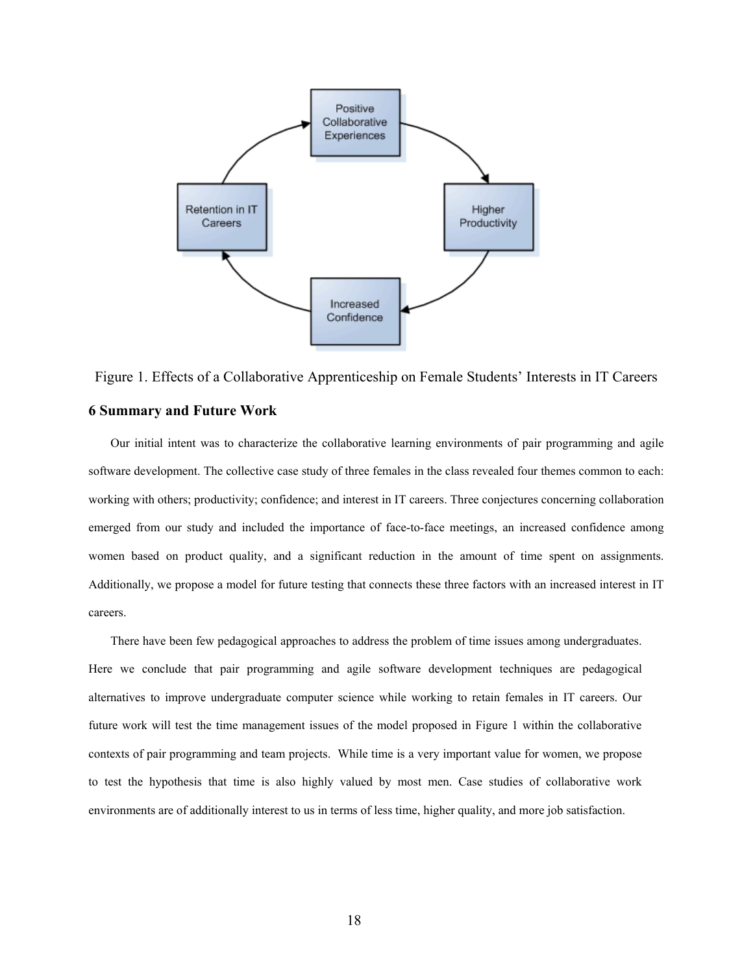

Figure 1. Effects of a Collaborative Apprenticeship on Female Students' Interests in IT Careers **6 Summary and Future Work** 

Our initial intent was to characterize the collaborative learning environments of pair programming and agile software development. The collective case study of three females in the class revealed four themes common to each: working with others; productivity; confidence; and interest in IT careers. Three conjectures concerning collaboration emerged from our study and included the importance of face-to-face meetings, an increased confidence among women based on product quality, and a significant reduction in the amount of time spent on assignments. Additionally, we propose a model for future testing that connects these three factors with an increased interest in IT careers.

There have been few pedagogical approaches to address the problem of time issues among undergraduates. Here we conclude that pair programming and agile software development techniques are pedagogical alternatives to improve undergraduate computer science while working to retain females in IT careers. Our future work will test the time management issues of the model proposed in Figure 1 within the collaborative contexts of pair programming and team projects. While time is a very important value for women, we propose to test the hypothesis that time is also highly valued by most men. Case studies of collaborative work environments are of additionally interest to us in terms of less time, higher quality, and more job satisfaction.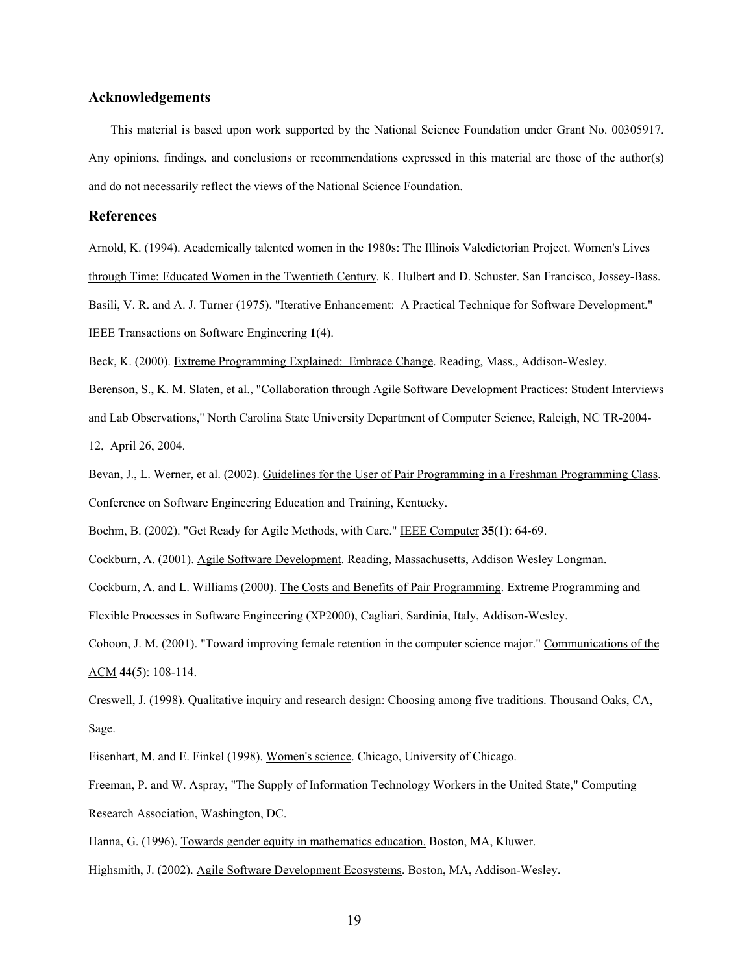#### **Acknowledgements**

This material is based upon work supported by the National Science Foundation under Grant No. 00305917. Any opinions, findings, and conclusions or recommendations expressed in this material are those of the author(s) and do not necessarily reflect the views of the National Science Foundation.

# **References**

Arnold, K. (1994). Academically talented women in the 1980s: The Illinois Valedictorian Project. Women's Lives through Time: Educated Women in the Twentieth Century. K. Hulbert and D. Schuster. San Francisco, Jossey-Bass. Basili, V. R. and A. J. Turner (1975). "Iterative Enhancement: A Practical Technique for Software Development." IEEE Transactions on Software Engineering **1**(4).

Beck, K. (2000). Extreme Programming Explained: Embrace Change. Reading, Mass., Addison-Wesley.

Berenson, S., K. M. Slaten, et al., "Collaboration through Agile Software Development Practices: Student Interviews and Lab Observations," North Carolina State University Department of Computer Science, Raleigh, NC TR-2004- 12, April 26, 2004.

Bevan, J., L. Werner, et al. (2002). Guidelines for the User of Pair Programming in a Freshman Programming Class. Conference on Software Engineering Education and Training, Kentucky.

Boehm, B. (2002). "Get Ready for Agile Methods, with Care." IEEE Computer **35**(1): 64-69.

Cockburn, A. (2001). Agile Software Development. Reading, Massachusetts, Addison Wesley Longman.

Cockburn, A. and L. Williams (2000). The Costs and Benefits of Pair Programming. Extreme Programming and Flexible Processes in Software Engineering (XP2000), Cagliari, Sardinia, Italy, Addison-Wesley.

Cohoon, J. M. (2001). "Toward improving female retention in the computer science major." Communications of the ACM **44**(5): 108-114.

Creswell, J. (1998). Qualitative inquiry and research design: Choosing among five traditions. Thousand Oaks, CA, Sage.

Eisenhart, M. and E. Finkel (1998). Women's science. Chicago, University of Chicago.

Freeman, P. and W. Aspray, "The Supply of Information Technology Workers in the United State," Computing Research Association, Washington, DC.

Hanna, G. (1996). Towards gender equity in mathematics education. Boston, MA, Kluwer.

Highsmith, J. (2002). Agile Software Development Ecosystems. Boston, MA, Addison-Wesley.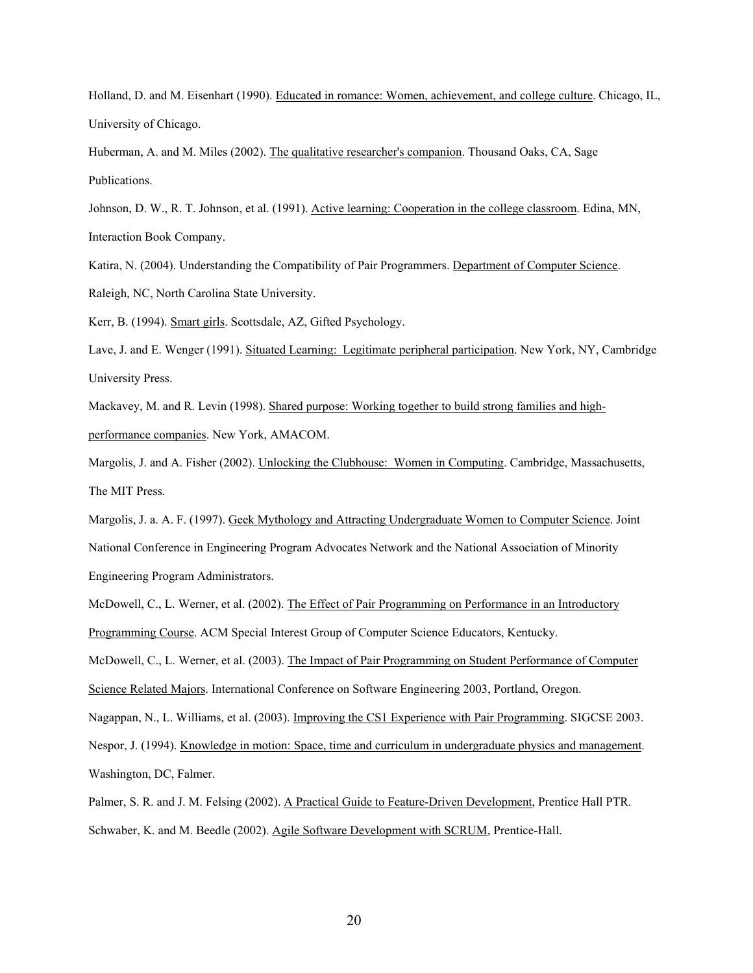Holland, D. and M. Eisenhart (1990). Educated in romance: Women, achievement, and college culture. Chicago, IL, University of Chicago.

Huberman, A. and M. Miles (2002). The qualitative researcher's companion. Thousand Oaks, CA, Sage Publications.

Johnson, D. W., R. T. Johnson, et al. (1991). Active learning: Cooperation in the college classroom. Edina, MN, Interaction Book Company.

Katira, N. (2004). Understanding the Compatibility of Pair Programmers. Department of Computer Science. Raleigh, NC, North Carolina State University.

Kerr, B. (1994). Smart girls. Scottsdale, AZ, Gifted Psychology.

Lave, J. and E. Wenger (1991). Situated Learning: Legitimate peripheral participation. New York, NY, Cambridge University Press.

Mackavey, M. and R. Levin (1998). Shared purpose: Working together to build strong families and highperformance companies. New York, AMACOM.

Margolis, J. and A. Fisher (2002). Unlocking the Clubhouse: Women in Computing. Cambridge, Massachusetts, The MIT Press.

Margolis, J. a. A. F. (1997). Geek Mythology and Attracting Undergraduate Women to Computer Science. Joint National Conference in Engineering Program Advocates Network and the National Association of Minority Engineering Program Administrators.

McDowell, C., L. Werner, et al. (2002). The Effect of Pair Programming on Performance in an Introductory Programming Course. ACM Special Interest Group of Computer Science Educators, Kentucky.

McDowell, C., L. Werner, et al. (2003). The Impact of Pair Programming on Student Performance of Computer Science Related Majors. International Conference on Software Engineering 2003, Portland, Oregon.

Nagappan, N., L. Williams, et al. (2003). Improving the CS1 Experience with Pair Programming. SIGCSE 2003.

Nespor, J. (1994). Knowledge in motion: Space, time and curriculum in undergraduate physics and management. Washington, DC, Falmer.

Palmer, S. R. and J. M. Felsing (2002). A Practical Guide to Feature-Driven Development, Prentice Hall PTR. Schwaber, K. and M. Beedle (2002). Agile Software Development with SCRUM, Prentice-Hall.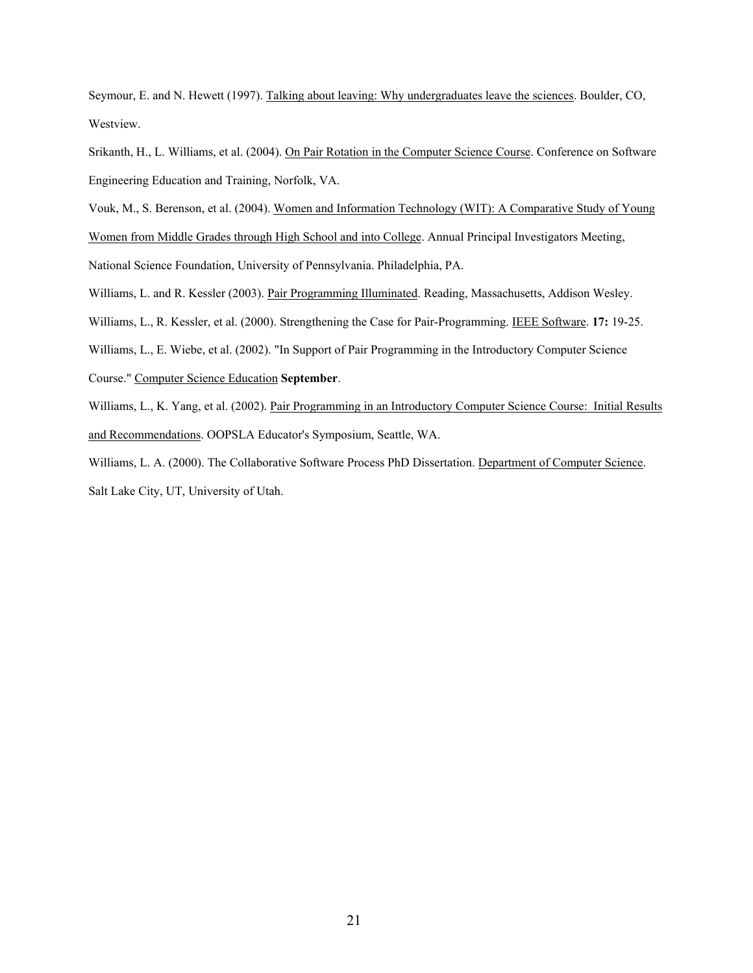Seymour, E. and N. Hewett (1997). Talking about leaving: Why undergraduates leave the sciences. Boulder, CO, Westview.

Srikanth, H., L. Williams, et al. (2004). On Pair Rotation in the Computer Science Course. Conference on Software Engineering Education and Training, Norfolk, VA.

Vouk, M., S. Berenson, et al. (2004). Women and Information Technology (WIT): A Comparative Study of Young

Women from Middle Grades through High School and into College. Annual Principal Investigators Meeting,

National Science Foundation, University of Pennsylvania. Philadelphia, PA.

Williams, L. and R. Kessler (2003). Pair Programming Illuminated. Reading, Massachusetts, Addison Wesley.

Williams, L., R. Kessler, et al. (2000). Strengthening the Case for Pair-Programming. IEEE Software. **17:** 19-25.

Williams, L., E. Wiebe, et al. (2002). "In Support of Pair Programming in the Introductory Computer Science

Course." Computer Science Education **September**.

Williams, L., K. Yang, et al. (2002). Pair Programming in an Introductory Computer Science Course: Initial Results and Recommendations. OOPSLA Educator's Symposium, Seattle, WA.

Williams, L. A. (2000). The Collaborative Software Process PhD Dissertation. Department of Computer Science. Salt Lake City, UT, University of Utah.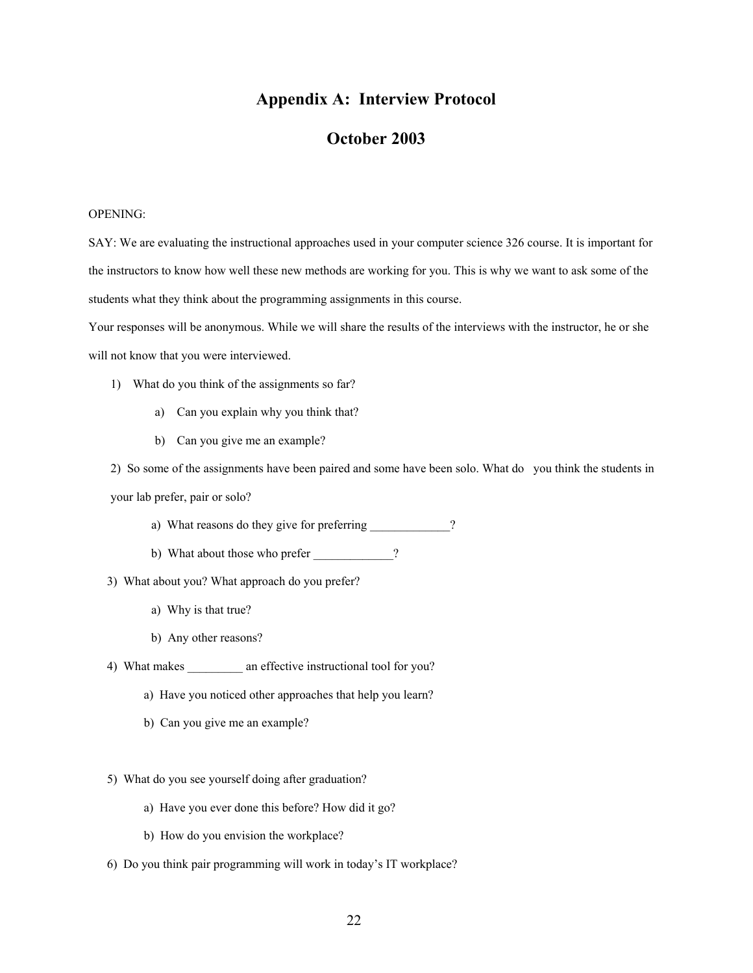# **Appendix A: Interview Protocol**

# **October 2003**

#### OPENING:

SAY: We are evaluating the instructional approaches used in your computer science 326 course. It is important for the instructors to know how well these new methods are working for you. This is why we want to ask some of the students what they think about the programming assignments in this course.

Your responses will be anonymous. While we will share the results of the interviews with the instructor, he or she will not know that you were interviewed.

- 1) What do you think of the assignments so far?
	- a) Can you explain why you think that?
	- b) Can you give me an example?

2) So some of the assignments have been paired and some have been solo. What do you think the students in your lab prefer, pair or solo?

- a) What reasons do they give for preferring \_\_\_\_\_\_\_\_\_\_\_?
- b) What about those who prefer \_\_\_\_\_\_\_\_\_?
- 3) What about you? What approach do you prefer?
	- a) Why is that true?
	- b) Any other reasons?
- 4) What makes \_\_\_\_\_\_\_\_\_ an effective instructional tool for you?
	- a) Have you noticed other approaches that help you learn?
	- b) Can you give me an example?
- 5) What do you see yourself doing after graduation?
	- a) Have you ever done this before? How did it go?
	- b) How do you envision the workplace?
- 6) Do you think pair programming will work in today's IT workplace?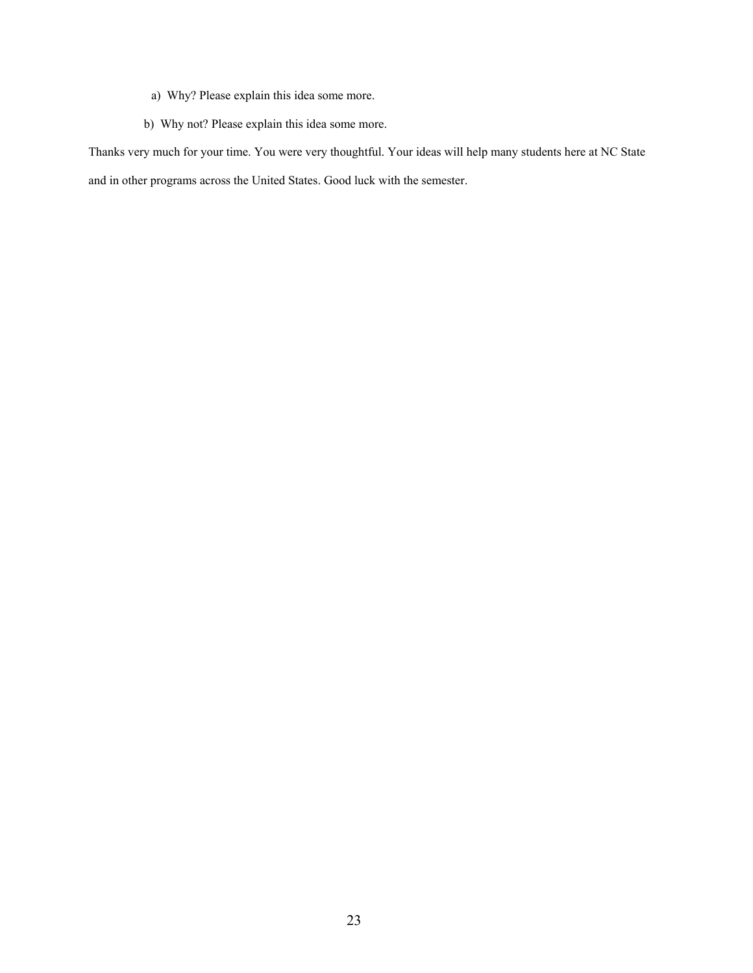- a) Why? Please explain this idea some more.
- b) Why not? Please explain this idea some more.

Thanks very much for your time. You were very thoughtful. Your ideas will help many students here at NC State and in other programs across the United States. Good luck with the semester.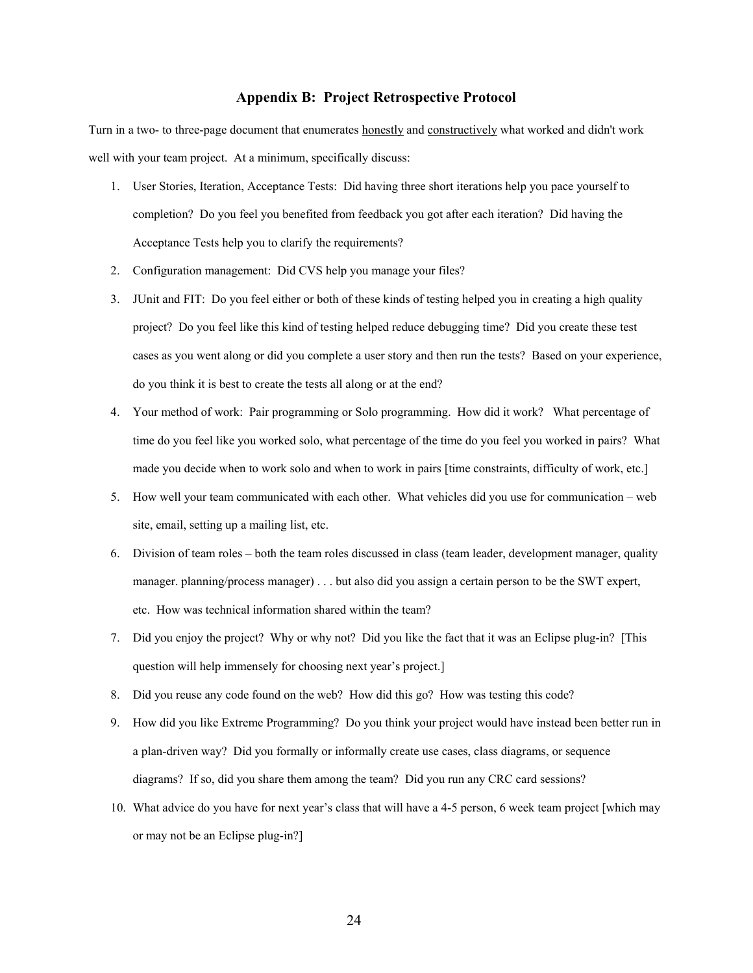# **Appendix B: Project Retrospective Protocol**

Turn in a two- to three-page document that enumerates honestly and constructively what worked and didn't work well with your team project. At a minimum, specifically discuss:

- 1. User Stories, Iteration, Acceptance Tests: Did having three short iterations help you pace yourself to completion? Do you feel you benefited from feedback you got after each iteration? Did having the Acceptance Tests help you to clarify the requirements?
- 2. Configuration management: Did CVS help you manage your files?
- 3. JUnit and FIT: Do you feel either or both of these kinds of testing helped you in creating a high quality project? Do you feel like this kind of testing helped reduce debugging time? Did you create these test cases as you went along or did you complete a user story and then run the tests? Based on your experience, do you think it is best to create the tests all along or at the end?
- 4. Your method of work: Pair programming or Solo programming. How did it work? What percentage of time do you feel like you worked solo, what percentage of the time do you feel you worked in pairs? What made you decide when to work solo and when to work in pairs [time constraints, difficulty of work, etc.]
- 5. How well your team communicated with each other. What vehicles did you use for communication web site, email, setting up a mailing list, etc.
- 6. Division of team roles both the team roles discussed in class (team leader, development manager, quality manager. planning/process manager) . . . but also did you assign a certain person to be the SWT expert, etc. How was technical information shared within the team?
- 7. Did you enjoy the project? Why or why not? Did you like the fact that it was an Eclipse plug-in? [This question will help immensely for choosing next year's project.]
- 8. Did you reuse any code found on the web? How did this go? How was testing this code?
- 9. How did you like Extreme Programming? Do you think your project would have instead been better run in a plan-driven way? Did you formally or informally create use cases, class diagrams, or sequence diagrams? If so, did you share them among the team? Did you run any CRC card sessions?
- 10. What advice do you have for next year's class that will have a 4-5 person, 6 week team project [which may or may not be an Eclipse plug-in?]